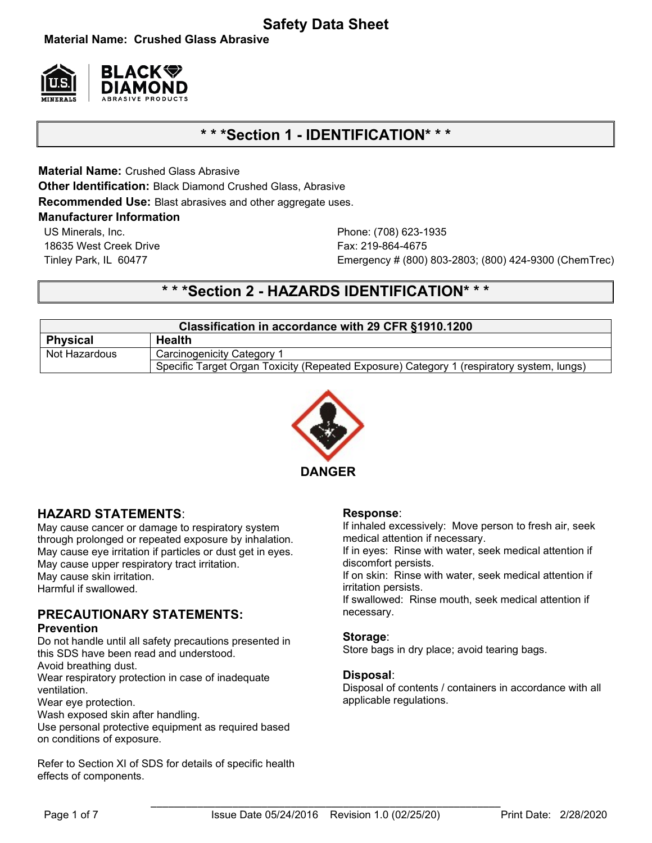# **Safety Data Sheet**

**Material Name: Crushed Glass Abrasive**



# **\* \* \*Section 1 - IDENTIFICATION\* \* \***

**Material Name:** Crushed Glass Abrasive **Other Identification:** Black Diamond Crushed Glass, Abrasive

**Recommended Use:** Blast abrasives and other aggregate uses.

### **Manufacturer Information**

US Minerals, Inc. Phone: (708) 623-1935 18635 West Creek Drive Fax: 219-864-4675

Tinley Park, IL 60477 Emergency # (800) 803-2803; (800) 424-9300 (ChemTrec)

# **\* \* \*Section 2 - HAZARDS IDENTIFICATION\* \* \***

| Classification in accordance with 29 CFR §1910.1200 |                                                                                           |  |  |
|-----------------------------------------------------|-------------------------------------------------------------------------------------------|--|--|
| <b>Physical</b>                                     | <b>Health</b>                                                                             |  |  |
| Not Hazardous                                       | <b>Carcinogenicity Category 1</b>                                                         |  |  |
|                                                     | Specific Target Organ Toxicity (Repeated Exposure) Category 1 (respiratory system, lungs) |  |  |



## **HAZARD STATEMENTS**:

May cause cancer or damage to respiratory system through prolonged or repeated exposure by inhalation. May cause eye irritation if particles or dust get in eyes. May cause upper respiratory tract irritation. May cause skin irritation. Harmful if swallowed.

### **PRECAUTIONARY STATEMENTS: Prevention**

Do not handle until all safety precautions presented in this SDS have been read and understood.

Avoid breathing dust.

Wear respiratory protection in case of inadequate ventilation.

Wear eye protection.

Wash exposed skin after handling.

Use personal protective equipment as required based on conditions of exposure.

Refer to Section XI of SDS for details of specific health effects of components.

### **Response**:

If inhaled excessively: Move person to fresh air, seek medical attention if necessary.

If in eyes: Rinse with water, seek medical attention if discomfort persists.

If on skin: Rinse with water, seek medical attention if irritation persists.

If swallowed: Rinse mouth, seek medical attention if necessary.

### **Storage**:

Store bags in dry place; avoid tearing bags.

### **Disposal**:

Disposal of contents / containers in accordance with all applicable regulations.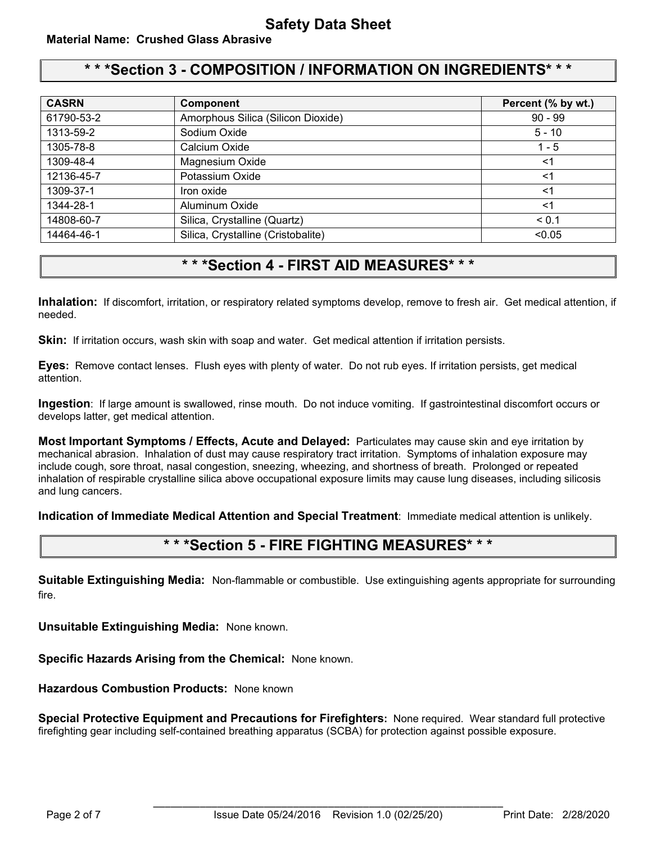# **\* \* \*Section 3 - COMPOSITION / INFORMATION ON INGREDIENTS\* \* \***

| <b>CASRN</b> | <b>Component</b>                   | Percent (% by wt.) |
|--------------|------------------------------------|--------------------|
| 61790-53-2   | Amorphous Silica (Silicon Dioxide) | $90 - 99$          |
| 1313-59-2    | Sodium Oxide                       | $5 - 10$           |
| 1305-78-8    | Calcium Oxide                      | $1 - 5$            |
| 1309-48-4    | Magnesium Oxide                    | $<$ 1              |
| 12136-45-7   | Potassium Oxide                    | $<$ 1              |
| 1309-37-1    | Iron oxide                         | $<$ 1              |
| 1344-28-1    | Aluminum Oxide                     | $<$ 1              |
| 14808-60-7   | Silica, Crystalline (Quartz)       | < 0.1              |
| 14464-46-1   | Silica, Crystalline (Cristobalite) | < 0.05             |

# **\* \* \*Section 4 - FIRST AID MEASURES\* \* \***

**Inhalation:** If discomfort, irritation, or respiratory related symptoms develop, remove to fresh air. Get medical attention, if needed.

**Skin:** If irritation occurs, wash skin with soap and water. Get medical attention if irritation persists.

**Eyes:** Remove contact lenses.Flush eyes with plenty of water. Do not rub eyes. If irritation persists, get medical attention.

**Ingestion**: If large amount is swallowed, rinse mouth. Do not induce vomiting. If gastrointestinal discomfort occurs or develops latter, get medical attention.

**Most Important Symptoms / Effects, Acute and Delayed:** Particulates may cause skin and eye irritation by mechanical abrasion. Inhalation of dust may cause respiratory tract irritation. Symptoms of inhalation exposure may include cough, sore throat, nasal congestion, sneezing, wheezing, and shortness of breath. Prolonged or repeated inhalation of respirable crystalline silica above occupational exposure limits may cause lung diseases, including silicosis and lung cancers.

**Indication of Immediate Medical Attention and Special Treatment**: Immediate medical attention is unlikely.

## **\* \* \*Section 5 - FIRE FIGHTING MEASURES\* \* \***

**Suitable Extinguishing Media:** Non-flammable or combustible. Use extinguishing agents appropriate for surrounding fire.

**Unsuitable Extinguishing Media:** None known.

**Specific Hazards Arising from the Chemical:** None known.

**Hazardous Combustion Products:** None known

**Special Protective Equipment and Precautions for Firefighters:** None required.Wear standard full protective firefighting gear including self-contained breathing apparatus (SCBA) for protection against possible exposure.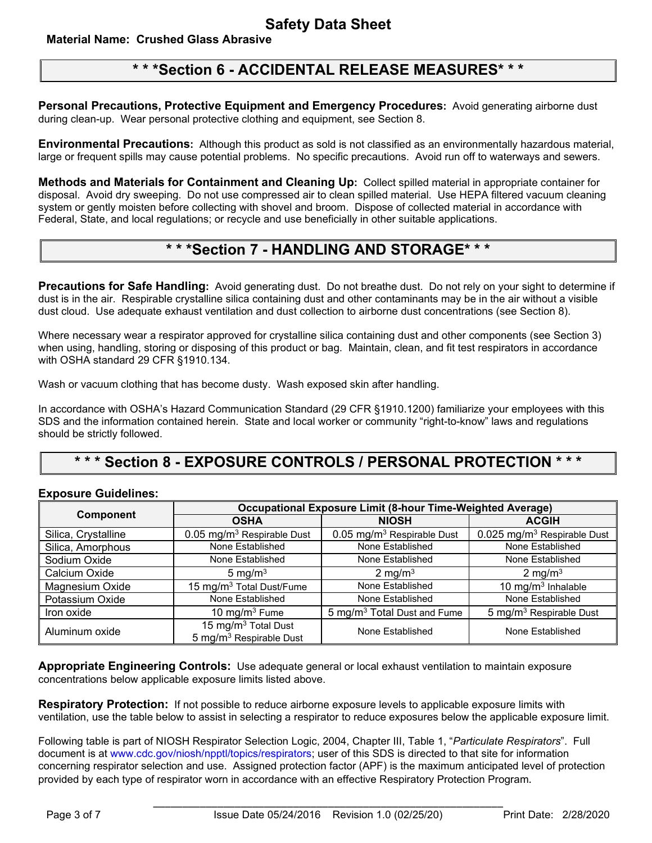### **Material Name: Crushed Glass Abrasive**

# **\* \* \*Section 6 - ACCIDENTAL RELEASE MEASURES\* \* \***

**Personal Precautions, Protective Equipment and Emergency Procedures:** Avoid generating airborne dust during clean-up. Wear personal protective clothing and equipment, see Section 8.

**Environmental Precautions:** Although this product as sold is not classified as an environmentally hazardous material, large or frequent spills may cause potential problems. No specific precautions. Avoid run off to waterways and sewers.

**Methods and Materials for Containment and Cleaning Up:** Collect spilled material in appropriate container for disposal. Avoid dry sweeping. Do not use compressed air to clean spilled material. Use HEPA filtered vacuum cleaning system or gently moisten before collecting with shovel and broom. Dispose of collected material in accordance with Federal, State, and local regulations; or recycle and use beneficially in other suitable applications.

## **\* \* \*Section 7 - HANDLING AND STORAGE\* \* \***

**Precautions for Safe Handling:** Avoid generating dust. Do not breathe dust. Do not rely on your sight to determine if dust is in the air. Respirable crystalline silica containing dust and other contaminants may be in the air without a visible dust cloud. Use adequate exhaust ventilation and dust collection to airborne dust concentrations (see Section 8).

Where necessary wear a respirator approved for crystalline silica containing dust and other components (see Section 3) when using, handling, storing or disposing of this product or bag. Maintain, clean, and fit test respirators in accordance with OSHA standard 29 CFR §1910.134.

Wash or vacuum clothing that has become dusty. Wash exposed skin after handling.

In accordance with OSHA's Hazard Communication Standard (29 CFR §1910.1200) familiarize your employees with this SDS and the information contained herein. State and local worker or community "right-to-know" laws and regulations should be strictly followed.

# **\* \* \* Section 8 - EXPOSURE CONTROLS / PERSONAL PROTECTION \* \* \***

### **Exposure Guidelines:**

|                     | <b>Occupational Exposure Limit (8-hour Time-Weighted Average)</b>      |                                         |                                         |  |
|---------------------|------------------------------------------------------------------------|-----------------------------------------|-----------------------------------------|--|
| <b>Component</b>    | <b>OSHA</b>                                                            | <b>NIOSH</b>                            | <b>ACGIH</b>                            |  |
| Silica, Crystalline | 0.05 mg/m <sup>3</sup> Respirable Dust                                 | 0.05 mg/m <sup>3</sup> Respirable Dust  | 0.025 mg/m <sup>3</sup> Respirable Dust |  |
| Silica, Amorphous   | None Established                                                       | None Established                        | None Established                        |  |
| Sodium Oxide        | None Established                                                       | None Established                        | None Established                        |  |
| Calcium Oxide       | 5 mg/m $3$                                                             | 2 mg/m $3$                              | $2 \text{ mg/m}^3$                      |  |
| Magnesium Oxide     | 15 mg/m <sup>3</sup> Total Dust/Fume                                   | None Established                        | 10 mg/m $3$ Inhalable                   |  |
| Potassium Oxide     | None Established                                                       | None Established                        | None Established                        |  |
| Iron oxide          | 10 mg/m $3$ Fume                                                       | 5 mg/m <sup>3</sup> Total Dust and Fume | 5 mg/m <sup>3</sup> Respirable Dust     |  |
| Aluminum oxide      | 15 mg/m <sup>3</sup> Total Dust<br>5 mg/m <sup>3</sup> Respirable Dust | None Established                        | None Established                        |  |

**Appropriate Engineering Controls:** Use adequate general or local exhaust ventilation to maintain exposure concentrations below applicable exposure limits listed above.

**Respiratory Protection:** If not possible to reduce airborne exposure levels to applicable exposure limits with ventilation, use the table below to assist in selecting a respirator to reduce exposures below the applicable exposure limit.

Following table is part of NIOSH Respirator Selection Logic, 2004, Chapter III, Table 1, "*Particulate Respirators*". Full document is at www.cdc.gov/niosh/npptl/topics/respirators; user of this SDS is directed to that site for information concerning respirator selection and use. Assigned protection factor (APF) is the maximum anticipated level of protection provided by each type of respirator worn in accordance with an effective Respiratory Protection Program.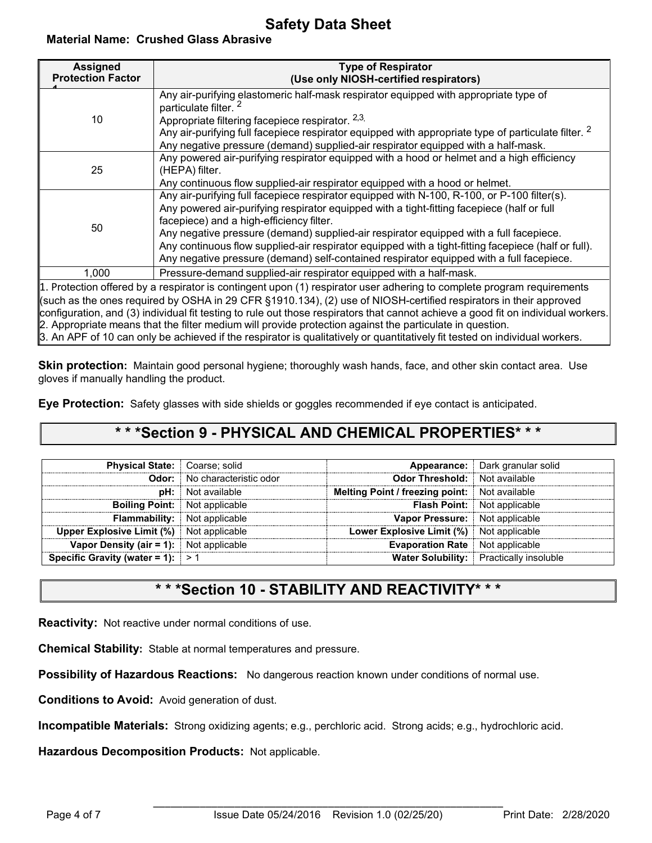# **Safety Data Sheet**

**Material Name: Crushed Glass Abrasive**

| <b>Assigned</b><br><b>Protection Factor</b>                                                                                           | <b>Type of Respirator</b><br>(Use only NIOSH-certified respirators)                                                      |  |  |  |
|---------------------------------------------------------------------------------------------------------------------------------------|--------------------------------------------------------------------------------------------------------------------------|--|--|--|
|                                                                                                                                       | Any air-purifying elastomeric half-mask respirator equipped with appropriate type of<br>particulate filter. <sup>2</sup> |  |  |  |
| 10                                                                                                                                    | Appropriate filtering facepiece respirator. 2,3,                                                                         |  |  |  |
|                                                                                                                                       | Any air-purifying full facepiece respirator equipped with appropriate type of particulate filter. $2$                    |  |  |  |
|                                                                                                                                       | Any negative pressure (demand) supplied-air respirator equipped with a half-mask.                                        |  |  |  |
| 25                                                                                                                                    | Any powered air-purifying respirator equipped with a hood or helmet and a high efficiency                                |  |  |  |
|                                                                                                                                       | (HEPA) filter.                                                                                                           |  |  |  |
|                                                                                                                                       | Any continuous flow supplied-air respirator equipped with a hood or helmet.                                              |  |  |  |
|                                                                                                                                       | Any air-purifying full facepiece respirator equipped with N-100, R-100, or P-100 filter(s).                              |  |  |  |
|                                                                                                                                       | Any powered air-purifying respirator equipped with a tight-fitting facepiece (half or full                               |  |  |  |
| 50                                                                                                                                    | facepiece) and a high-efficiency filter.                                                                                 |  |  |  |
|                                                                                                                                       | Any negative pressure (demand) supplied-air respirator equipped with a full facepiece.                                   |  |  |  |
|                                                                                                                                       | Any continuous flow supplied-air respirator equipped with a tight-fitting facepiece (half or full).                      |  |  |  |
|                                                                                                                                       | Any negative pressure (demand) self-contained respirator equipped with a full facepiece.                                 |  |  |  |
| 1,000                                                                                                                                 | Pressure-demand supplied-air respirator equipped with a half-mask.                                                       |  |  |  |
|                                                                                                                                       | 1. Protection offered by a respirator is contingent upon (1) respirator user adhering to complete program requirements   |  |  |  |
|                                                                                                                                       | (such as the ones required by OSHA in 29 CFR §1910.134), (2) use of NIOSH-certified respirators in their approved        |  |  |  |
| $ $ configuration, and (3) individual fit testing to rule out those respirators that cannot achieve a good fit on individual workers. |                                                                                                                          |  |  |  |
| 2. Appropriate means that the filter medium will provide protection against the particulate in question.                              |                                                                                                                          |  |  |  |
| 3. An APF of 10 can only be achieved if the respirator is qualitatively or quantitatively fit tested on individual workers.           |                                                                                                                          |  |  |  |

**Skin protection:** Maintain good personal hygiene; thoroughly wash hands, face, and other skin contact area. Use gloves if manually handling the product.

**Eye Protection:** Safety glasses with side shields or goggles recommended if eye contact is anticipated.

# **\* \* \*Section 9 - PHYSICAL AND CHEMICAL PROPERTIES\* \* \***

| <b>Physical State:</b> Coarse; solid            |                                     |                                                      | <b>Appearance:</b> Dark granular solid         |
|-------------------------------------------------|-------------------------------------|------------------------------------------------------|------------------------------------------------|
|                                                 | <b>Odor:</b> No characteristic odor | <b>Odor Threshold:</b> Not available                 |                                                |
|                                                 | <b>pH:</b> Not available            | <b>Melting Point / freezing point:</b> Not available |                                                |
| <b>Boiling Point:</b> Not applicable            |                                     |                                                      | <b>Flash Point:</b> Not applicable             |
|                                                 | <b>Flammability:</b> Not applicable | Vapor Pressure: Not applicable                       |                                                |
| <b>Upper Explosive Limit (%)</b> Not applicable |                                     | <b>Lower Explosive Limit (%)</b> Not applicable      |                                                |
| <b>Vapor Density (air = 1):</b> Not applicable  |                                     | <b>Evaporation Rate</b> Not applicable               |                                                |
| Specific Gravity (water = 1): $\ge 1$           |                                     |                                                      | <b>Water Solubility:</b> Practically insoluble |

# **\* \* \*Section 10 - STABILITY AND REACTIVITY\* \* \***

**Reactivity:** Not reactive under normal conditions of use.

**Chemical Stability:** Stable at normal temperatures and pressure.

**Possibility of Hazardous Reactions:** No dangerous reaction known under conditions of normal use.

**Conditions to Avoid:** Avoid generation of dust.

**Incompatible Materials:** Strong oxidizing agents; e.g., perchloric acid. Strong acids; e.g., hydrochloric acid.

**Hazardous Decomposition Products:** Not applicable.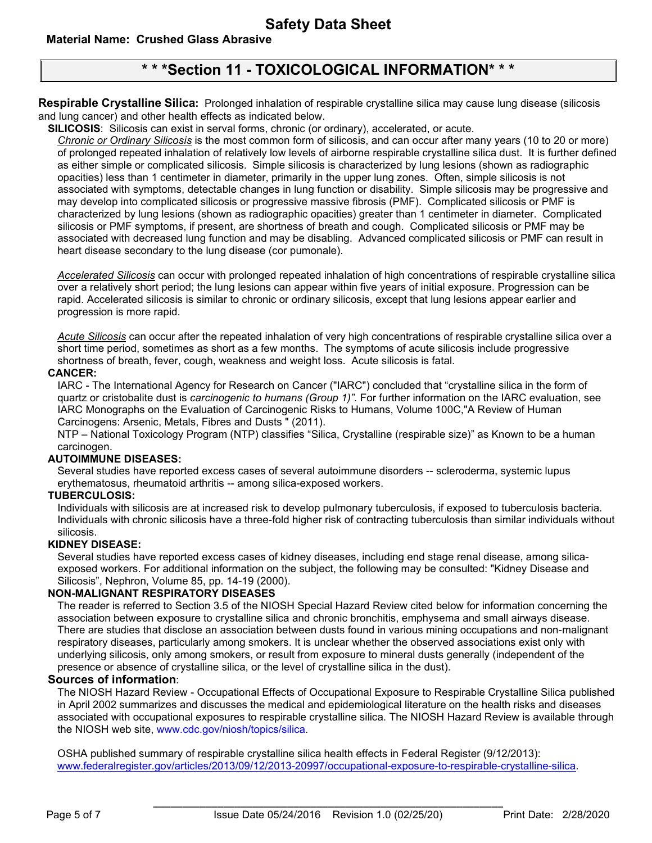### **Material Name: Crushed Glass Abrasive**

# **\* \* \*Section 11 - TOXICOLOGICAL INFORMATION\* \* \***

**Respirable Crystalline Silica:** Prolonged inhalation of respirable crystalline silica may cause lung disease (silicosis and lung cancer) and other health effects as indicated below.

**SILICOSIS**: Silicosis can exist in serval forms, chronic (or ordinary), accelerated, or acute.

*Chronic or Ordinary Silicosis* is the most common form of silicosis, and can occur after many years (10 to 20 or more) of prolonged repeated inhalation of relatively low levels of airborne respirable crystalline silica dust. It is further defined as either simple or complicated silicosis. Simple silicosis is characterized by lung lesions (shown as radiographic opacities) less than 1 centimeter in diameter, primarily in the upper lung zones. Often, simple silicosis is not associated with symptoms, detectable changes in lung function or disability. Simple silicosis may be progressive and may develop into complicated silicosis or progressive massive fibrosis (PMF). Complicated silicosis or PMF is characterized by lung lesions (shown as radiographic opacities) greater than 1 centimeter in diameter. Complicated silicosis or PMF symptoms, if present, are shortness of breath and cough. Complicated silicosis or PMF may be associated with decreased lung function and may be disabling. Advanced complicated silicosis or PMF can result in heart disease secondary to the lung disease (cor pumonale).

*Accelerated Silicosis* can occur with prolonged repeated inhalation of high concentrations of respirable crystalline silica over a relatively short period; the lung lesions can appear within five years of initial exposure. Progression can be rapid. Accelerated silicosis is similar to chronic or ordinary silicosis, except that lung lesions appear earlier and progression is more rapid.

*Acute Silicosis* can occur after the repeated inhalation of very high concentrations of respirable crystalline silica over a short time period, sometimes as short as a few months. The symptoms of acute silicosis include progressive shortness of breath, fever, cough, weakness and weight loss. Acute silicosis is fatal.

#### **CANCER:**

IARC - The International Agency for Research on Cancer ("IARC") concluded that "crystalline silica in the form of quartz or cristobalite dust is *carcinogenic to humans (Group 1)".* For further information on the IARC evaluation, see IARC Monographs on the Evaluation of Carcinogenic Risks to Humans, Volume 100C,"A Review of Human Carcinogens: Arsenic, Metals, Fibres and Dusts " (2011).

NTP – National Toxicology Program (NTP) classifies "Silica, Crystalline (respirable size)" as Known to be a human carcinogen.

#### **AUTOIMMUNE DISEASES:**

Several studies have reported excess cases of several autoimmune disorders -- scleroderma, systemic lupus erythematosus, rheumatoid arthritis -- among silica-exposed workers.

#### **TUBERCULOSIS:**

Individuals with silicosis are at increased risk to develop pulmonary tuberculosis, if exposed to tuberculosis bacteria. Individuals with chronic silicosis have a three-fold higher risk of contracting tuberculosis than similar individuals without silicosis.

#### **KIDNEY DISEASE:**

Several studies have reported excess cases of kidney diseases, including end stage renal disease, among silicaexposed workers. For additional information on the subject, the following may be consulted: "Kidney Disease and Silicosis", Nephron, Volume 85, pp. 14-19 (2000).

#### **NON-MALIGNANT RESPIRATORY DISEASES**

The reader is referred to Section 3.5 of the NIOSH Special Hazard Review cited below for information concerning the association between exposure to crystalline silica and chronic bronchitis, emphysema and small airways disease. There are studies that disclose an association between dusts found in various mining occupations and non-malignant respiratory diseases, particularly among smokers. It is unclear whether the observed associations exist only with underlying silicosis, only among smokers, or result from exposure to mineral dusts generally (independent of the presence or absence of crystalline silica, or the level of crystalline silica in the dust).

### **Sources of information**:

The NIOSH Hazard Review - Occupational Effects of Occupational Exposure to Respirable Crystalline Silica published in April 2002 summarizes and discusses the medical and epidemiological literature on the health risks and diseases associated with occupational exposures to respirable crystalline silica. The NIOSH Hazard Review is available through the NIOSH web site, www.cdc.gov/niosh/topics/silica.

OSHA published summary of respirable crystalline silica health effects in Federal Register (9/12/2013): [www.federalregister.gov/articles/2013/09/12/2013-20997/occupational-exposure-to-respirable-crystalline-silica.](http://www.federalregister.gov/articles/2013/09/12/2013-20997/occupational-exposure-to-respirable-crystalline-silica)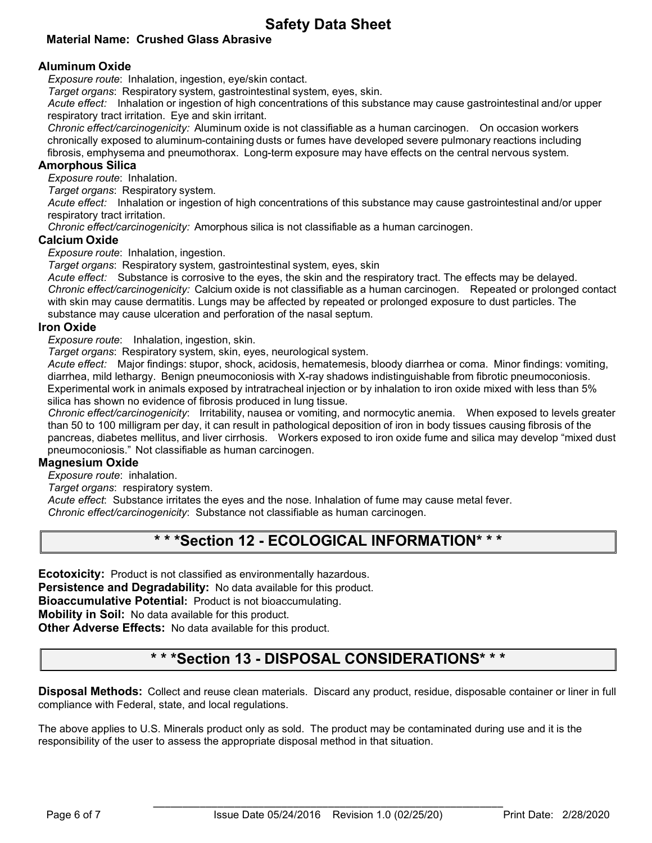## **Safety Data Sheet**

### **Material Name: Crushed Glass Abrasive**

### **Aluminum Oxide**

*Exposure route*: Inhalation, ingestion, eye/skin contact.

*Target organs*: Respiratory system, gastrointestinal system, eyes, skin.

*Acute effect:* Inhalation or ingestion of high concentrations of this substance may cause gastrointestinal and/or upper respiratory tract irritation. Eye and skin irritant.

*Chronic effect/carcinogenicity:* Aluminum oxide is not classifiable as a human carcinogen. On occasion workers chronically exposed to aluminum-containing dusts or fumes have developed severe pulmonary reactions including fibrosis, emphysema and pneumothorax. Long-term exposure may have effects on the central nervous system.

### **Amorphous Silica**

*Exposure route*: Inhalation.

*Target organs*: Respiratory system.

*Acute effect:* Inhalation or ingestion of high concentrations of this substance may cause gastrointestinal and/or upper respiratory tract irritation.

*Chronic effect/carcinogenicity:* Amorphous silica is not classifiable as a human carcinogen.

#### **Calcium Oxide**

*Exposure route*: Inhalation, ingestion.

*Target organs*: Respiratory system, gastrointestinal system, eyes, skin

*Acute effect:* Substance is corrosive to the eyes, the skin and the respiratory tract. The effects may be delayed. *Chronic effect/carcinogenicity:* Calcium oxide is not classifiable as a human carcinogen. Repeated or prolonged contact with skin may cause dermatitis. Lungs may be affected by repeated or prolonged exposure to dust particles. The substance may cause ulceration and perforation of the nasal septum.

#### **Iron Oxide**

*Exposure route*: Inhalation, ingestion, skin.

*Target organs*: Respiratory system, skin, eyes, neurological system.

*Acute effect:* Major findings: stupor, shock, acidosis, hematemesis, bloody diarrhea or coma. Minor findings: vomiting, diarrhea, mild lethargy. Benign pneumoconiosis with X-ray shadows indistinguishable from fibrotic pneumoconiosis. Experimental work in animals exposed by intratracheal injection or by inhalation to iron oxide mixed with less than 5% silica has shown no evidence of fibrosis produced in lung tissue.

*Chronic effect/carcinogenicity*: Irritability, nausea or vomiting, and normocytic anemia. When exposed to levels greater than 50 to 100 milligram per day, it can result in pathological deposition of iron in body tissues causing fibrosis of the pancreas, diabetes mellitus, and liver cirrhosis. Workers exposed to iron oxide fume and silica may develop "mixed dust pneumoconiosis." Not classifiable as human carcinogen.

#### **Magnesium Oxide**

*Exposure route*: inhalation.

*Target organs*: respiratory system.

*Acute effect*: Substance irritates the eyes and the nose. Inhalation of fume may cause metal fever. *Chronic effect/carcinogenicity*: Substance not classifiable as human carcinogen.

# **\* \* \*Section 12 - ECOLOGICAL INFORMATION\* \* \***

**Ecotoxicity:** Product is not classified as environmentally hazardous.

**Persistence and Degradability:** No data available for this product.

**Bioaccumulative Potential:** Product is not bioaccumulating.

**Mobility in Soil:** No data available for this product.

**Other Adverse Effects:** No data available for this product.

# **\* \* \*Section 13 - DISPOSAL CONSIDERATIONS\* \* \***

**Disposal Methods:** Collect and reuse clean materials. Discard any product, residue, disposable container or liner in full compliance with Federal, state, and local regulations.

The above applies to U.S. Minerals product only as sold. The product may be contaminated during use and it is the responsibility of the user to assess the appropriate disposal method in that situation.